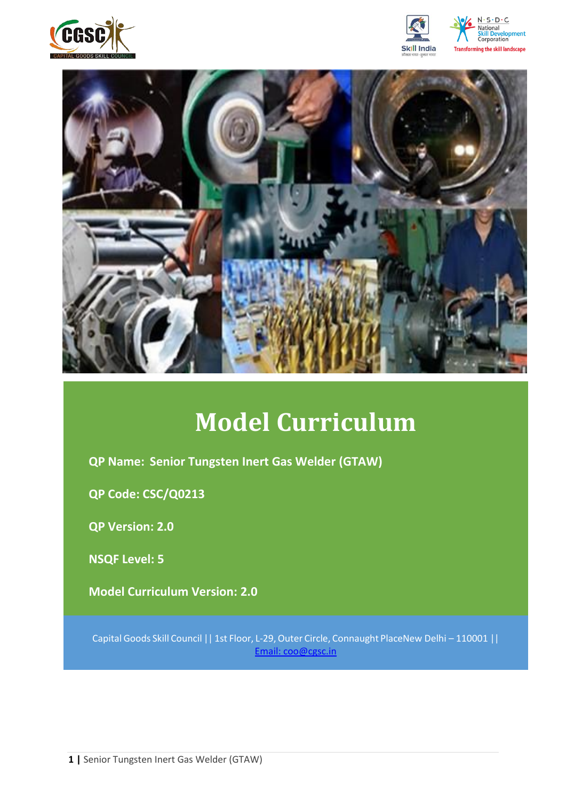







# **Model Curriculum**

**QP Name: Senior Tungsten Inert Gas Welder (GTAW)**

**QP Code: CSC/Q0213**

**QP Version: 2.0**

**NSQF Level: 5**

**Model Curriculum Version: 2.0** 

Capital Goods Skill Council || 1st Floor, L-29,Outer Circle, Connaught PlaceNew Delhi – 110001 || Email: [coo@cgsc.in](mailto:Email:%20coo@cgsc.in)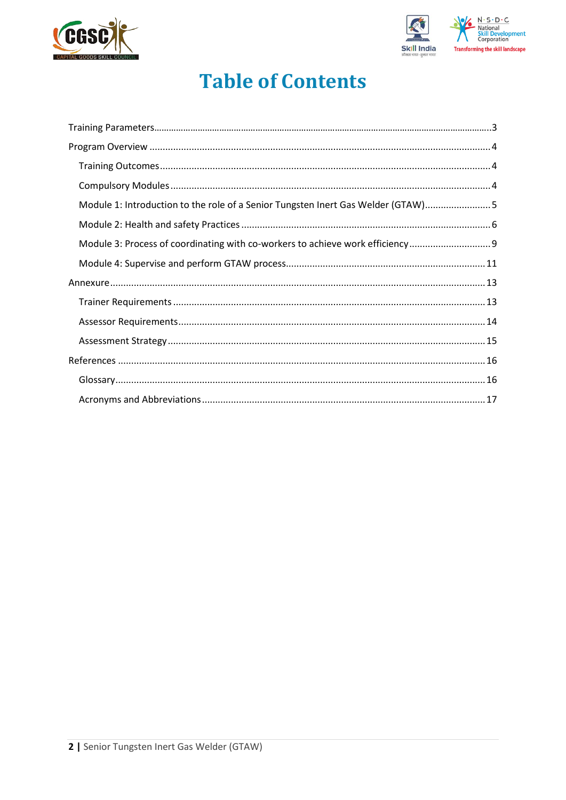



## **Table of Contents**

| Module 1: Introduction to the role of a Senior Tungsten Inert Gas Welder (GTAW)5 |  |
|----------------------------------------------------------------------------------|--|
|                                                                                  |  |
| Module 3: Process of coordinating with co-workers to achieve work efficiency     |  |
|                                                                                  |  |
|                                                                                  |  |
|                                                                                  |  |
|                                                                                  |  |
|                                                                                  |  |
|                                                                                  |  |
|                                                                                  |  |
|                                                                                  |  |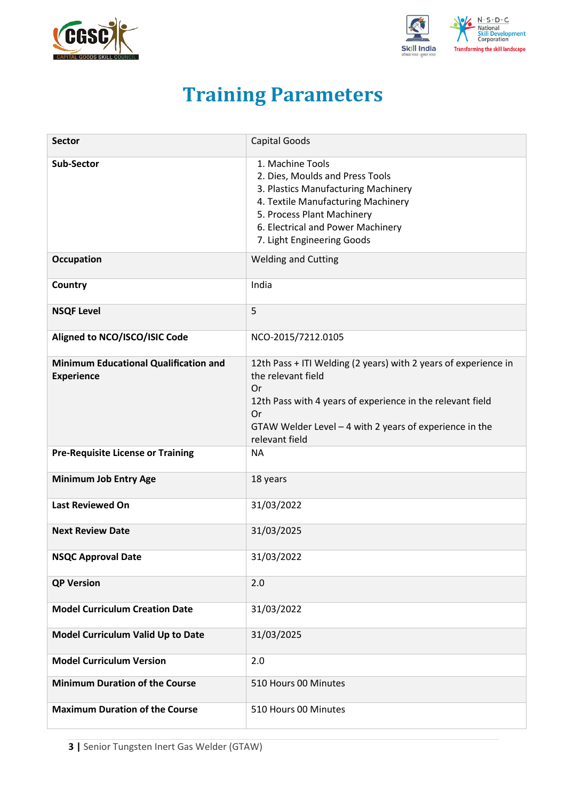<span id="page-2-0"></span>



# **Training Parameters**

| <b>Sector</b>                                                     | Capital Goods                                                                                                                                                                                                                                 |
|-------------------------------------------------------------------|-----------------------------------------------------------------------------------------------------------------------------------------------------------------------------------------------------------------------------------------------|
| <b>Sub-Sector</b>                                                 | 1. Machine Tools<br>2. Dies, Moulds and Press Tools<br>3. Plastics Manufacturing Machinery<br>4. Textile Manufacturing Machinery<br>5. Process Plant Machinery<br>6. Electrical and Power Machinery<br>7. Light Engineering Goods             |
| <b>Occupation</b>                                                 | <b>Welding and Cutting</b>                                                                                                                                                                                                                    |
| Country                                                           | India                                                                                                                                                                                                                                         |
| <b>NSQF Level</b>                                                 | 5                                                                                                                                                                                                                                             |
| Aligned to NCO/ISCO/ISIC Code                                     | NCO-2015/7212.0105                                                                                                                                                                                                                            |
| <b>Minimum Educational Qualification and</b><br><b>Experience</b> | 12th Pass + ITI Welding (2 years) with 2 years of experience in<br>the relevant field<br>Or<br>12th Pass with 4 years of experience in the relevant field<br>Or<br>GTAW Welder Level $-4$ with 2 years of experience in the<br>relevant field |
| <b>Pre-Requisite License or Training</b>                          | <b>NA</b>                                                                                                                                                                                                                                     |
| <b>Minimum Job Entry Age</b>                                      | 18 years                                                                                                                                                                                                                                      |
| <b>Last Reviewed On</b>                                           | 31/03/2022                                                                                                                                                                                                                                    |
| <b>Next Review Date</b>                                           | 31/03/2025                                                                                                                                                                                                                                    |
| <b>NSQC Approval Date</b>                                         | 31/03/2022                                                                                                                                                                                                                                    |
| <b>QP Version</b>                                                 | 2.0                                                                                                                                                                                                                                           |
| <b>Model Curriculum Creation Date</b>                             | 31/03/2022                                                                                                                                                                                                                                    |
| Model Curriculum Valid Up to Date                                 | 31/03/2025                                                                                                                                                                                                                                    |
| <b>Model Curriculum Version</b>                                   | 2.0                                                                                                                                                                                                                                           |
| <b>Minimum Duration of the Course</b>                             | 510 Hours 00 Minutes                                                                                                                                                                                                                          |
| <b>Maximum Duration of the Course</b>                             | 510 Hours 00 Minutes                                                                                                                                                                                                                          |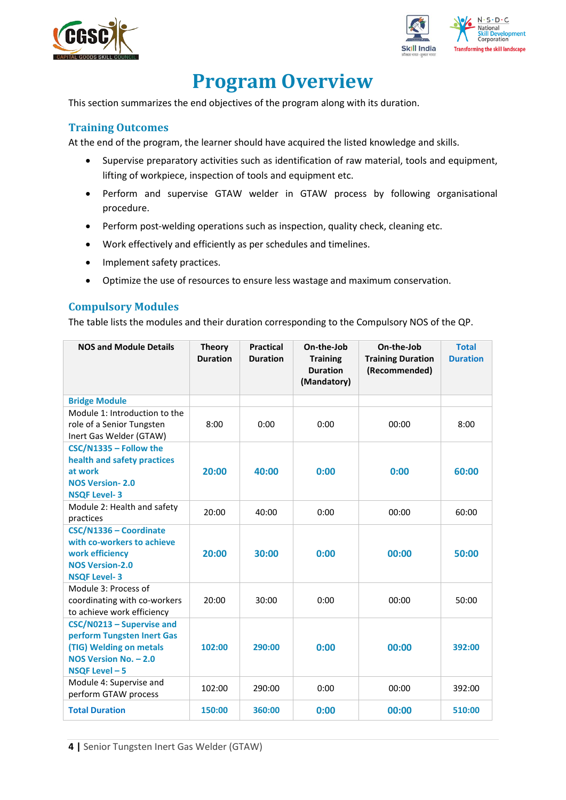



## **Program Overview**

<span id="page-3-0"></span>This section summarizes the end objectives of the program along with its duration.

## <span id="page-3-1"></span>**Training Outcomes**

<span id="page-3-2"></span>At the end of the program, the learner should have acquired the listed knowledge and skills.

- Supervise preparatory activities such as identification of raw material, tools and equipment, lifting of workpiece, inspection of tools and equipment etc.
- Perform and supervise GTAW welder in GTAW process by following organisational procedure.
- Perform post-welding operations such as inspection, quality check, cleaning etc.
- Work effectively and efficiently as per schedules and timelines.
- Implement safety practices.
- Optimize the use of resources to ensure less wastage and maximum conservation.

### **Compulsory Modules**

The table lists the modules and their duration corresponding to the Compulsory NOS of the QP.

| <b>NOS and Module Details</b>                                                                                                 | <b>Theory</b><br><b>Duration</b> | <b>Practical</b><br><b>Duration</b> | On-the-Job<br><b>Training</b><br><b>Duration</b><br>(Mandatory) | On-the-Job<br><b>Training Duration</b><br>(Recommended) | <b>Total</b><br><b>Duration</b> |
|-------------------------------------------------------------------------------------------------------------------------------|----------------------------------|-------------------------------------|-----------------------------------------------------------------|---------------------------------------------------------|---------------------------------|
| <b>Bridge Module</b>                                                                                                          |                                  |                                     |                                                                 |                                                         |                                 |
| Module 1: Introduction to the<br>role of a Senior Tungsten<br>Inert Gas Welder (GTAW)                                         | 8:00                             | 0:00                                | 0:00                                                            | 00:00                                                   | 8:00                            |
| CSC/N1335 - Follow the<br>health and safety practices<br>at work<br><b>NOS Version-2.0</b><br><b>NSQF Level-3</b>             | 20:00                            | 40:00                               | 0:00                                                            | 0:00                                                    | 60:00                           |
| Module 2: Health and safety<br>practices                                                                                      | 20:00                            | 40:00                               | 0:00                                                            | 00:00                                                   | 60:00                           |
| CSC/N1336 - Coordinate<br>with co-workers to achieve<br>work efficiency<br><b>NOS Version-2.0</b><br><b>NSQF Level-3</b>      | 20:00                            | 30:00                               | 0:00                                                            | 00:00                                                   | 50:00                           |
| Module 3: Process of<br>coordinating with co-workers<br>to achieve work efficiency                                            | 20:00                            | 30:00                               | 0:00                                                            | 00:00                                                   | 50:00                           |
| CSC/N0213 - Supervise and<br>perform Tungsten Inert Gas<br>(TIG) Welding on metals<br>NOS Version No. - 2.0<br>NSQF Level - 5 | 102:00                           | 290:00                              | 0:00                                                            | 00:00                                                   | 392:00                          |
| Module 4: Supervise and<br>perform GTAW process                                                                               | 102:00                           | 290:00                              | 0:00                                                            | 00:00                                                   | 392:00                          |
| <b>Total Duration</b>                                                                                                         | 150:00                           | 360:00                              | 0:00                                                            | 00:00                                                   | 510:00                          |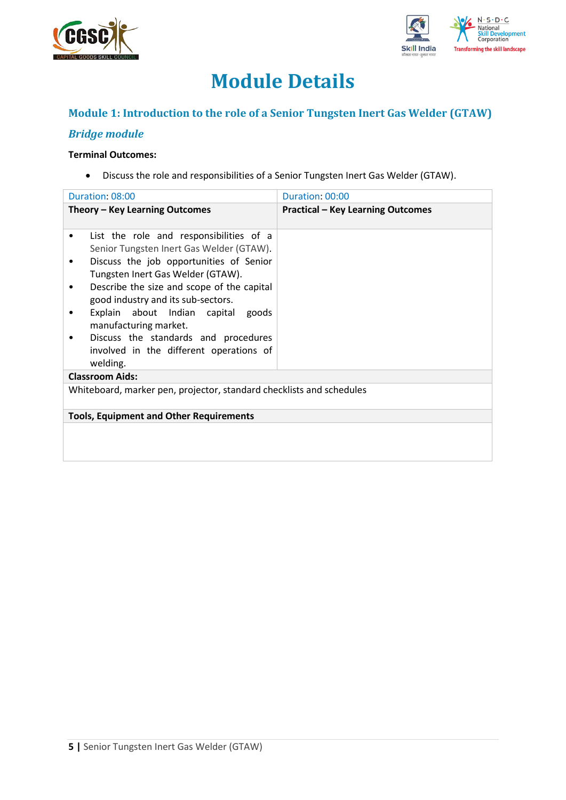



## **Module Details**

## **Module 1: Introduction to the role of a Senior Tungsten Inert Gas Welder (GTAW)**

## *Bridge module*

#### **Terminal Outcomes:**

• Discuss the role and responsibilities of a Senior Tungsten Inert Gas Welder (GTAW).

| Duration: 08:00                                                                                                                                                                                                                                                                                                                                                                                                            | Duration: 00:00                          |
|----------------------------------------------------------------------------------------------------------------------------------------------------------------------------------------------------------------------------------------------------------------------------------------------------------------------------------------------------------------------------------------------------------------------------|------------------------------------------|
| Theory – Key Learning Outcomes                                                                                                                                                                                                                                                                                                                                                                                             | <b>Practical - Key Learning Outcomes</b> |
| List the role and responsibilities of a<br>٠<br>Senior Tungsten Inert Gas Welder (GTAW).<br>Discuss the job opportunities of Senior<br>Tungsten Inert Gas Welder (GTAW).<br>Describe the size and scope of the capital<br>good industry and its sub-sectors.<br>Explain about Indian capital goods<br>manufacturing market.<br>Discuss the standards and procedures<br>involved in the different operations of<br>welding. |                                          |
| <b>Classroom Aids:</b>                                                                                                                                                                                                                                                                                                                                                                                                     |                                          |
| Whiteboard, marker pen, projector, standard checklists and schedules                                                                                                                                                                                                                                                                                                                                                       |                                          |
| <b>Tools, Equipment and Other Requirements</b>                                                                                                                                                                                                                                                                                                                                                                             |                                          |
|                                                                                                                                                                                                                                                                                                                                                                                                                            |                                          |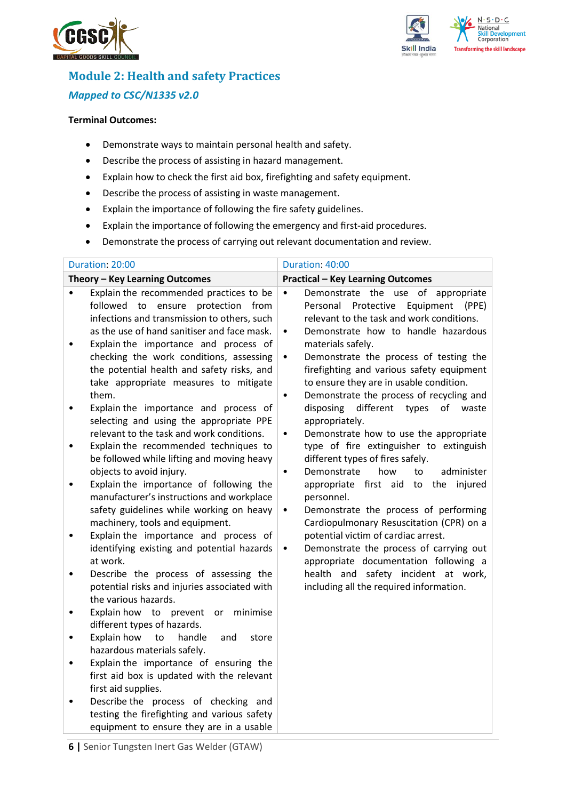



## **Module 2: Health and safety Practices** *Mapped to CSC/N1335 v2.0*

#### **Terminal Outcomes:**

- Demonstrate ways to maintain personal health and safety.
- Describe the process of assisting in hazard management.
- Explain how to check the first aid box, firefighting and safety equipment.
- Describe the process of assisting in waste management.
- Explain the importance of following the fire safety guidelines.
- Explain the importance of following the emergency and first-aid procedures.
- Demonstrate the process of carrying out relevant documentation and review.

| Duration: 20:00                                                                                                                                                                                                                                                                                                                                                                                                                                                                                                                                                                                                                                                                                                                                                                                                                                                                                                                                                                                                                                                                                                                                                                                                                                                                                                                                                                                                                                                                                                | Duration: 40:00                                                                                                                                                                                                                                                                                                                                                                                                                                                                                                                                                                                                                                                                                                                                                                                                                                                                                                                                                                                                                                                     |
|----------------------------------------------------------------------------------------------------------------------------------------------------------------------------------------------------------------------------------------------------------------------------------------------------------------------------------------------------------------------------------------------------------------------------------------------------------------------------------------------------------------------------------------------------------------------------------------------------------------------------------------------------------------------------------------------------------------------------------------------------------------------------------------------------------------------------------------------------------------------------------------------------------------------------------------------------------------------------------------------------------------------------------------------------------------------------------------------------------------------------------------------------------------------------------------------------------------------------------------------------------------------------------------------------------------------------------------------------------------------------------------------------------------------------------------------------------------------------------------------------------------|---------------------------------------------------------------------------------------------------------------------------------------------------------------------------------------------------------------------------------------------------------------------------------------------------------------------------------------------------------------------------------------------------------------------------------------------------------------------------------------------------------------------------------------------------------------------------------------------------------------------------------------------------------------------------------------------------------------------------------------------------------------------------------------------------------------------------------------------------------------------------------------------------------------------------------------------------------------------------------------------------------------------------------------------------------------------|
| Theory - Key Learning Outcomes                                                                                                                                                                                                                                                                                                                                                                                                                                                                                                                                                                                                                                                                                                                                                                                                                                                                                                                                                                                                                                                                                                                                                                                                                                                                                                                                                                                                                                                                                 | <b>Practical - Key Learning Outcomes</b>                                                                                                                                                                                                                                                                                                                                                                                                                                                                                                                                                                                                                                                                                                                                                                                                                                                                                                                                                                                                                            |
| Explain the recommended practices to be<br>$\bullet$<br>followed to ensure protection from<br>infections and transmission to others, such<br>as the use of hand sanitiser and face mask.<br>Explain the importance and process of<br>$\bullet$<br>checking the work conditions, assessing<br>the potential health and safety risks, and<br>take appropriate measures to mitigate<br>them.<br>Explain the importance and process of<br>٠<br>selecting and using the appropriate PPE<br>relevant to the task and work conditions.<br>Explain the recommended techniques to<br>$\bullet$<br>be followed while lifting and moving heavy<br>objects to avoid injury.<br>Explain the importance of following the<br>$\bullet$<br>manufacturer's instructions and workplace<br>safety guidelines while working on heavy<br>machinery, tools and equipment.<br>Explain the importance and process of<br>٠<br>identifying existing and potential hazards<br>at work.<br>Describe the process of assessing the<br>potential risks and injuries associated with<br>the various hazards.<br>Explain how to prevent<br>minimise<br>or<br>٠<br>different types of hazards.<br>Explain how<br>handle<br>to<br>and<br>store<br>$\bullet$<br>hazardous materials safely.<br>Explain the importance of ensuring the<br>٠<br>first aid box is updated with the relevant<br>first aid supplies.<br>Describe the process of checking and<br>testing the firefighting and various safety<br>equipment to ensure they are in a usable | Demonstrate the use of appropriate<br>$\bullet$<br>Personal<br>Protective<br>Equipment<br>(PPE)<br>relevant to the task and work conditions.<br>Demonstrate how to handle hazardous<br>$\bullet$<br>materials safely.<br>Demonstrate the process of testing the<br>$\bullet$<br>firefighting and various safety equipment<br>to ensure they are in usable condition.<br>Demonstrate the process of recycling and<br>$\bullet$<br>different<br>disposing<br>types<br>of<br>waste<br>appropriately.<br>Demonstrate how to use the appropriate<br>$\bullet$<br>type of fire extinguisher to extinguish<br>different types of fires safely.<br>Demonstrate<br>how<br>administer<br>to<br>$\bullet$<br>appropriate first aid to the<br>injured<br>personnel.<br>Demonstrate the process of performing<br>٠<br>Cardiopulmonary Resuscitation (CPR) on a<br>potential victim of cardiac arrest.<br>Demonstrate the process of carrying out<br>٠<br>appropriate documentation following a<br>health and safety incident at work,<br>including all the required information. |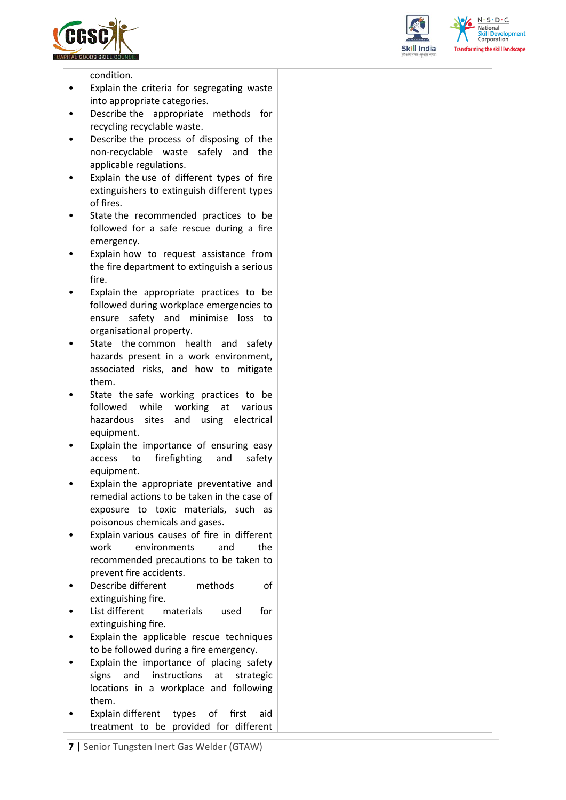





condition.

- Explain the criteria for segregating waste into appropriate categories.
- Describe the appropriate methods for recycling recyclable waste.
- Describe the process of disposing of the non-recyclable waste safely and the applicable regulations.
- Explain the use of different types of fire extinguishers to extinguish different types of fires.
- State the recommended practices to be followed for a safe rescue during a fire emergency.
- Explain how to request assistance from the fire department to extinguish a serious fire.
- Explain the appropriate practices to be followed during workplace emergencies to ensure safety and minimise loss to organisational property.
- State the common health and safety hazards present in a work environment, associated risks, and how to mitigate them.
- State the safe working practices to be followed while working at various hazardous sites and using electrical equipment.
- Explain the importance of ensuring easy access to firefighting and safety equipment.
- Explain the appropriate preventative and remedial actions to be taken in the case of exposure to toxic materials, such as poisonous chemicals and gases.
- Explain various causes of fire in different work environments and the recommended precautions to be taken to prevent fire accidents.
- Describe different methods of extinguishing fire.
- List different materials used for extinguishing fire.
- Explain the applicable rescue techniques to be followed during a fire emergency.
- Explain the importance of placing safety signs and instructions at strategic locations in a workplace and following them.
- Explain different types of first aid treatment to be provided for different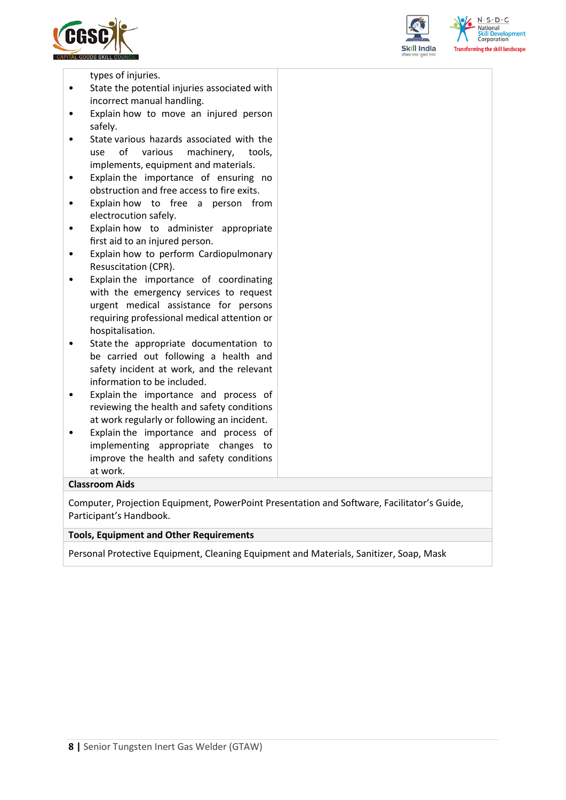





types of injuries.

- State the potential injuries associated with incorrect manual handling.
- Explain how to move an injured person safely.
- State various hazards associated with the use of various machinery, tools, implements, equipment and materials.
- Explain the importance of ensuring no obstruction and free access to fire exits.
- Explain how to free a person from electrocution safely.
- Explain how to administer appropriate first aid to an injured person.
- Explain how to perform Cardiopulmonary Resuscitation (CPR).
- Explain the importance of coordinating with the emergency services to request urgent medical assistance for persons requiring professional medical attention or hospitalisation.
- State the appropriate documentation to be carried out following a health and safety incident at work, and the relevant information to be included.
- Explain the importance and process of reviewing the health and safety conditions at work regularly or following an incident.
- Explain the importance and process of implementing appropriate changes to improve the health and safety conditions at work.

### **Classroom Aids**

Computer, Projection Equipment, PowerPoint Presentation and Software, Facilitator's Guide, Participant's Handbook.

#### **Tools, Equipment and Other Requirements**

Personal Protective Equipment, Cleaning Equipment and Materials, Sanitizer, Soap, Mask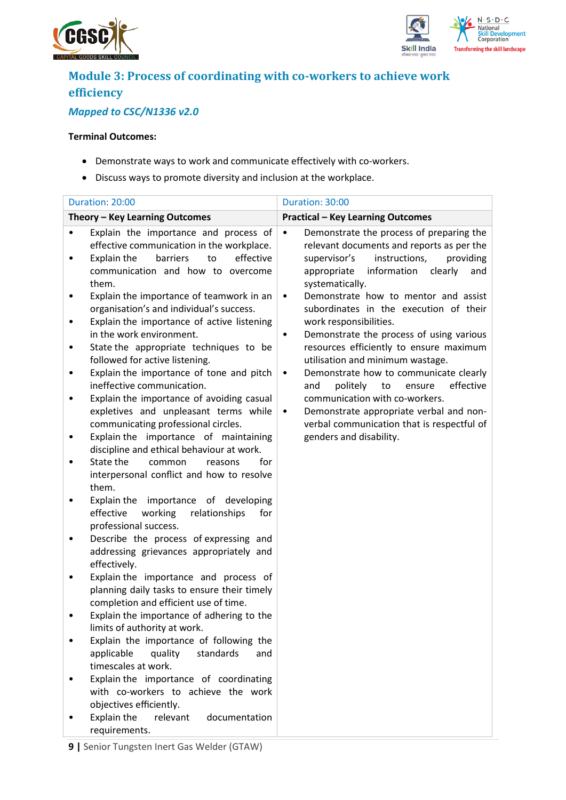



## **Module 3: Process of coordinating with co-workers to achieve work efficiency**

## *Mapped to CSC/N1336 v2.0*

#### **Terminal Outcomes:**

- Demonstrate ways to work and communicate effectively with co-workers.
- Discuss ways to promote diversity and inclusion at the workplace.

|             | Duration: 20:00                                                                                                                                                                                                                                                        | Duration: 30:00                                                                                                                                                                                                                                                                                                    |
|-------------|------------------------------------------------------------------------------------------------------------------------------------------------------------------------------------------------------------------------------------------------------------------------|--------------------------------------------------------------------------------------------------------------------------------------------------------------------------------------------------------------------------------------------------------------------------------------------------------------------|
|             | Theory - Key Learning Outcomes                                                                                                                                                                                                                                         | <b>Practical - Key Learning Outcomes</b>                                                                                                                                                                                                                                                                           |
| ٠<br>٠<br>٠ | Explain the importance and process of<br>effective communication in the workplace.<br>to<br>effective<br>Explain the<br>barriers<br>communication and how to overcome<br>them.<br>Explain the importance of teamwork in an<br>organisation's and individual's success. | Demonstrate the process of preparing the<br>$\bullet$<br>relevant documents and reports as per the<br>instructions,<br>providing<br>supervisor's<br>information<br>appropriate<br>clearly<br>and<br>systematically.<br>Demonstrate how to mentor and assist<br>$\bullet$<br>subordinates in the execution of their |
| ٠<br>٠      | Explain the importance of active listening<br>in the work environment.<br>State the appropriate techniques to be<br>followed for active listening.                                                                                                                     | work responsibilities.<br>Demonstrate the process of using various<br>$\bullet$<br>resources efficiently to ensure maximum<br>utilisation and minimum wastage.                                                                                                                                                     |
| ٠<br>٠      | Explain the importance of tone and pitch<br>ineffective communication.<br>Explain the importance of avoiding casual<br>expletives and unpleasant terms while<br>communicating professional circles.                                                                    | Demonstrate how to communicate clearly<br>$\bullet$<br>politely<br>to<br>ensure<br>effective<br>and<br>communication with co-workers.<br>Demonstrate appropriate verbal and non-<br>$\bullet$<br>verbal communication that is respectful of                                                                        |
| ٠           | Explain the importance of maintaining<br>discipline and ethical behaviour at work.<br>State the<br>for<br>common<br>reasons<br>interpersonal conflict and how to resolve                                                                                               | genders and disability.                                                                                                                                                                                                                                                                                            |
|             | them.<br>of developing<br>Explain the importance<br>effective<br>working<br>relationships<br>for<br>professional success.                                                                                                                                              |                                                                                                                                                                                                                                                                                                                    |
| ٠           | Describe the process of expressing and<br>addressing grievances appropriately and<br>effectively.                                                                                                                                                                      |                                                                                                                                                                                                                                                                                                                    |
| ٠           | Explain the importance and process of<br>planning daily tasks to ensure their timely<br>completion and efficient use of time.                                                                                                                                          |                                                                                                                                                                                                                                                                                                                    |
|             | Explain the importance of adhering to the<br>limits of authority at work.                                                                                                                                                                                              |                                                                                                                                                                                                                                                                                                                    |
|             | Explain the importance of following the<br>applicable<br>quality<br>standards<br>and<br>timescales at work.                                                                                                                                                            |                                                                                                                                                                                                                                                                                                                    |
|             | Explain the importance of coordinating<br>with co-workers to achieve the work<br>objectives efficiently.                                                                                                                                                               |                                                                                                                                                                                                                                                                                                                    |
|             | Explain the<br>relevant<br>documentation<br>requirements.                                                                                                                                                                                                              |                                                                                                                                                                                                                                                                                                                    |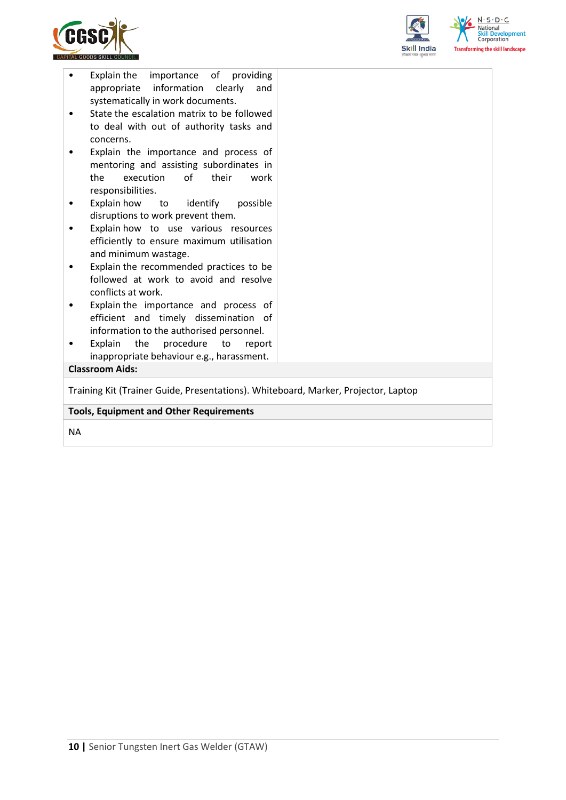



| Explain the importance of providing<br>appropriate information clearly<br>and<br>systematically in work documents.<br>State the escalation matrix to be followed<br>to deal with out of authority tasks and<br>concerns.<br>Explain the importance and process of<br>mentoring and assisting subordinates in<br>execution<br>of<br>their<br>the<br>work |  |  |  |  |  |
|---------------------------------------------------------------------------------------------------------------------------------------------------------------------------------------------------------------------------------------------------------------------------------------------------------------------------------------------------------|--|--|--|--|--|
| responsibilities.                                                                                                                                                                                                                                                                                                                                       |  |  |  |  |  |
|                                                                                                                                                                                                                                                                                                                                                         |  |  |  |  |  |
| Explain how<br>to identify<br>possible                                                                                                                                                                                                                                                                                                                  |  |  |  |  |  |
| disruptions to work prevent them.                                                                                                                                                                                                                                                                                                                       |  |  |  |  |  |
| Explain how to use various resources                                                                                                                                                                                                                                                                                                                    |  |  |  |  |  |
| efficiently to ensure maximum utilisation                                                                                                                                                                                                                                                                                                               |  |  |  |  |  |
| and minimum wastage.                                                                                                                                                                                                                                                                                                                                    |  |  |  |  |  |
| Explain the recommended practices to be                                                                                                                                                                                                                                                                                                                 |  |  |  |  |  |
| followed at work to avoid and resolve                                                                                                                                                                                                                                                                                                                   |  |  |  |  |  |
| conflicts at work.                                                                                                                                                                                                                                                                                                                                      |  |  |  |  |  |
| Explain the importance and process of                                                                                                                                                                                                                                                                                                                   |  |  |  |  |  |
| efficient and timely dissemination of                                                                                                                                                                                                                                                                                                                   |  |  |  |  |  |
| information to the authorised personnel.                                                                                                                                                                                                                                                                                                                |  |  |  |  |  |
| Explain<br>the<br>procedure<br>to<br>report<br>$\bullet$                                                                                                                                                                                                                                                                                                |  |  |  |  |  |
| inappropriate behaviour e.g., harassment.                                                                                                                                                                                                                                                                                                               |  |  |  |  |  |
| <b>Classroom Aids:</b>                                                                                                                                                                                                                                                                                                                                  |  |  |  |  |  |
|                                                                                                                                                                                                                                                                                                                                                         |  |  |  |  |  |
| Training Kit (Trainer Guide, Presentations). Whiteboard, Marker, Projector, Laptop                                                                                                                                                                                                                                                                      |  |  |  |  |  |
| <b>Tools, Equipment and Other Requirements</b>                                                                                                                                                                                                                                                                                                          |  |  |  |  |  |
|                                                                                                                                                                                                                                                                                                                                                         |  |  |  |  |  |

NA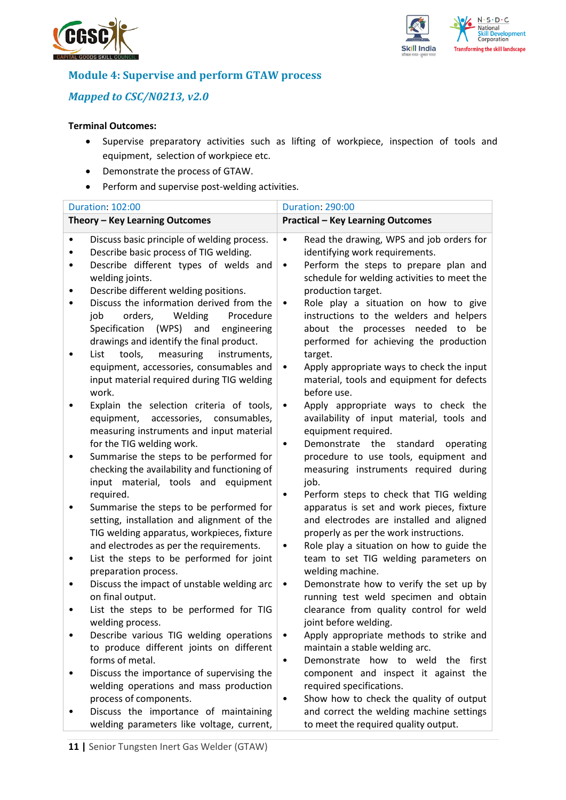



## **Module 4: Supervise and perform GTAW process**

## *Mapped to CSC/N0213, v2.0*

### **Terminal Outcomes:**

- Supervise preparatory activities such as lifting of workpiece, inspection of tools and equipment, selection of workpiece etc.
- Demonstrate the process of GTAW.
- Perform and supervise post-welding activities.

| <b>Duration: 102:00</b>                                                                                                                                                                                                                                                                                                                                                                                                                                                                                                                                                                                                                                                                                                                                                                                                                                                                                                                                                                                                                                                                                                                                                                                                                                      | <b>Duration: 290:00</b>                                                                                                                                                                                                                                                                                                                                                                                                                                                                                                                                                                                                                                                                                                                                                                                                                                                                                                                                                                                                                                                                                                                                                           |  |  |  |
|--------------------------------------------------------------------------------------------------------------------------------------------------------------------------------------------------------------------------------------------------------------------------------------------------------------------------------------------------------------------------------------------------------------------------------------------------------------------------------------------------------------------------------------------------------------------------------------------------------------------------------------------------------------------------------------------------------------------------------------------------------------------------------------------------------------------------------------------------------------------------------------------------------------------------------------------------------------------------------------------------------------------------------------------------------------------------------------------------------------------------------------------------------------------------------------------------------------------------------------------------------------|-----------------------------------------------------------------------------------------------------------------------------------------------------------------------------------------------------------------------------------------------------------------------------------------------------------------------------------------------------------------------------------------------------------------------------------------------------------------------------------------------------------------------------------------------------------------------------------------------------------------------------------------------------------------------------------------------------------------------------------------------------------------------------------------------------------------------------------------------------------------------------------------------------------------------------------------------------------------------------------------------------------------------------------------------------------------------------------------------------------------------------------------------------------------------------------|--|--|--|
| Theory - Key Learning Outcomes                                                                                                                                                                                                                                                                                                                                                                                                                                                                                                                                                                                                                                                                                                                                                                                                                                                                                                                                                                                                                                                                                                                                                                                                                               | <b>Practical - Key Learning Outcomes</b>                                                                                                                                                                                                                                                                                                                                                                                                                                                                                                                                                                                                                                                                                                                                                                                                                                                                                                                                                                                                                                                                                                                                          |  |  |  |
| Discuss basic principle of welding process.<br>$\bullet$<br>Describe basic process of TIG welding.<br>٠<br>Describe different types of welds and<br>$\bullet$<br>welding joints.<br>Describe different welding positions.<br>٠<br>Discuss the information derived from the<br>$\bullet$<br>job<br>orders,<br>Welding<br>Procedure<br>(WPS)<br>Specification<br>and<br>engineering<br>drawings and identify the final product.<br>tools,<br>measuring<br>List<br>instruments,<br>$\bullet$<br>equipment, accessories, consumables and<br>input material required during TIG welding<br>work.<br>Explain the selection criteria of tools,<br>$\bullet$<br>equipment, accessories, consumables,<br>measuring instruments and input material<br>for the TIG welding work.<br>Summarise the steps to be performed for<br>$\bullet$<br>checking the availability and functioning of<br>input material, tools and equipment<br>required.<br>Summarise the steps to be performed for<br>٠<br>setting, installation and alignment of the<br>TIG welding apparatus, workpieces, fixture<br>and electrodes as per the requirements.<br>List the steps to be performed for joint<br>٠<br>preparation process.<br>Discuss the impact of unstable welding arc<br>$\bullet$ | Read the drawing, WPS and job orders for<br>$\bullet$<br>identifying work requirements.<br>Perform the steps to prepare plan and<br>$\bullet$<br>schedule for welding activities to meet the<br>production target.<br>Role play a situation on how to give<br>$\bullet$<br>instructions to the welders and helpers<br>about the processes needed<br>to be<br>performed for achieving the production<br>target.<br>Apply appropriate ways to check the input<br>$\bullet$<br>material, tools and equipment for defects<br>before use.<br>Apply appropriate ways to check the<br>$\bullet$<br>availability of input material, tools and<br>equipment required.<br>Demonstrate the<br>standard<br>operating<br>$\bullet$<br>procedure to use tools, equipment and<br>measuring instruments required during<br>job.<br>Perform steps to check that TIG welding<br>٠<br>apparatus is set and work pieces, fixture<br>and electrodes are installed and aligned<br>properly as per the work instructions.<br>Role play a situation on how to guide the<br>$\bullet$<br>team to set TIG welding parameters on<br>welding machine.<br>Demonstrate how to verify the set up by<br>$\bullet$ |  |  |  |
| on final output.<br>List the steps to be performed for TIG<br>٠                                                                                                                                                                                                                                                                                                                                                                                                                                                                                                                                                                                                                                                                                                                                                                                                                                                                                                                                                                                                                                                                                                                                                                                              | running test weld specimen and obtain<br>clearance from quality control for weld                                                                                                                                                                                                                                                                                                                                                                                                                                                                                                                                                                                                                                                                                                                                                                                                                                                                                                                                                                                                                                                                                                  |  |  |  |
| welding process.<br>Describe various TIG welding operations<br>to produce different joints on different<br>forms of metal.                                                                                                                                                                                                                                                                                                                                                                                                                                                                                                                                                                                                                                                                                                                                                                                                                                                                                                                                                                                                                                                                                                                                   | joint before welding.<br>Apply appropriate methods to strike and<br>$\bullet$<br>maintain a stable welding arc.<br>Demonstrate how to weld the<br>first<br>٠                                                                                                                                                                                                                                                                                                                                                                                                                                                                                                                                                                                                                                                                                                                                                                                                                                                                                                                                                                                                                      |  |  |  |
| Discuss the importance of supervising the<br>welding operations and mass production<br>process of components.<br>Discuss the importance of maintaining<br>welding parameters like voltage, current,                                                                                                                                                                                                                                                                                                                                                                                                                                                                                                                                                                                                                                                                                                                                                                                                                                                                                                                                                                                                                                                          | component and inspect it against the<br>required specifications.<br>Show how to check the quality of output<br>٠<br>and correct the welding machine settings<br>to meet the required quality output.                                                                                                                                                                                                                                                                                                                                                                                                                                                                                                                                                                                                                                                                                                                                                                                                                                                                                                                                                                              |  |  |  |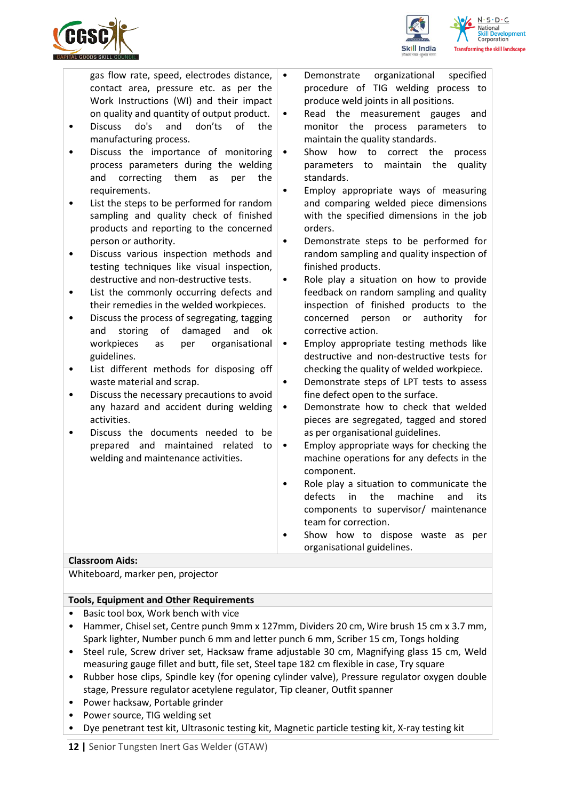



gas flow rate, speed, electrodes distance, contact area, pressure etc. as per the Work Instructions (WI) and their impact on quality and quantity of output product.

- Discuss do's and don'ts of the manufacturing process.
- Discuss the importance of monitoring process parameters during the welding and correcting them as per the requirements.
- List the steps to be performed for random sampling and quality check of finished products and reporting to the concerned person or authority.
- Discuss various inspection methods and testing techniques like visual inspection, destructive and non-destructive tests.
- List the commonly occurring defects and their remedies in the welded workpieces.
- Discuss the process of segregating, tagging and storing of damaged and ok workpieces as per organisational guidelines.
- List different methods for disposing off waste material and scrap.
- Discuss the necessary precautions to avoid any hazard and accident during welding activities.
- Discuss the documents needed to be prepared and maintained related to welding and maintenance activities.
- Demonstrate organizational specified procedure of TIG welding process to produce weld joints in all positions.
- Read the measurement gauges and monitor the process parameters to maintain the quality standards.
- Show how to correct the process parameters to maintain the quality standards.
- Employ appropriate ways of measuring and comparing welded piece dimensions with the specified dimensions in the job orders.
- Demonstrate steps to be performed for random sampling and quality inspection of finished products.
- Role play a situation on how to provide feedback on random sampling and quality inspection of finished products to the concerned person or authority for corrective action.
- Employ appropriate testing methods like destructive and non-destructive tests for checking the quality of welded workpiece.
- Demonstrate steps of LPT tests to assess fine defect open to the surface.
- Demonstrate how to check that welded pieces are segregated, tagged and stored as per organisational guidelines.
- Employ appropriate ways for checking the machine operations for any defects in the component.
- Role play a situation to communicate the defects in the machine and its components to supervisor/ maintenance team for correction.
- Show how to dispose waste as per organisational guidelines.

## **Classroom Aids:**

Whiteboard, marker pen, projector

## **Tools, Equipment and Other Requirements**

- Basic tool box, Work bench with vice
- Hammer, Chisel set, Centre punch 9mm x 127mm, Dividers 20 cm, Wire brush 15 cm x 3.7 mm, Spark lighter, Number punch 6 mm and letter punch 6 mm, Scriber 15 cm, Tongs holding
- Steel rule, Screw driver set, Hacksaw frame adjustable 30 cm, Magnifying glass 15 cm, Weld measuring gauge fillet and butt, file set, Steel tape 182 cm flexible in case, Try square
- Rubber hose clips, Spindle key (for opening cylinder valve), Pressure regulator oxygen double stage, Pressure regulator acetylene regulator, Tip cleaner, Outfit spanner
- Power hacksaw, Portable grinder
- Power source, TIG welding set
- Dye penetrant test kit, Ultrasonic testing kit, Magnetic particle testing kit, X-ray testing kit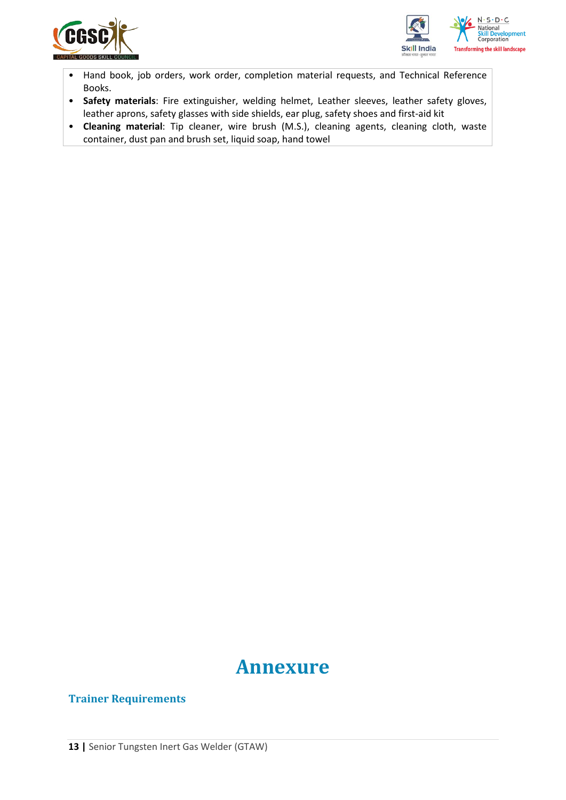



- Hand book, job orders, work order, completion material requests, and Technical Reference Books.
- **Safety materials**: Fire extinguisher, welding helmet, Leather sleeves, leather safety gloves, leather aprons, safety glasses with side shields, ear plug, safety shoes and first-aid kit
- **Cleaning material**: Tip cleaner, wire brush (M.S.), cleaning agents, cleaning cloth, waste container, dust pan and brush set, liquid soap, hand towel

## **Annexure**

## <span id="page-12-0"></span>**Trainer Requirements**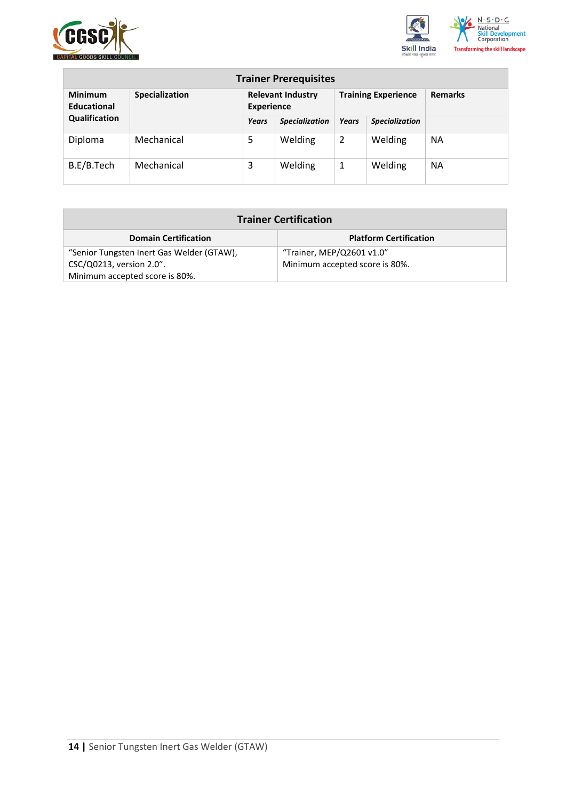



| <b>Trainer Prerequisites</b>  |                       |                                               |                       |       |                            |                |
|-------------------------------|-----------------------|-----------------------------------------------|-----------------------|-------|----------------------------|----------------|
| <b>Minimum</b><br>Educational | <b>Specialization</b> | <b>Relevant Industry</b><br><b>Experience</b> |                       |       | <b>Training Experience</b> | <b>Remarks</b> |
| Qualification                 |                       | Years                                         | <b>Specialization</b> | Years | <b>Specialization</b>      |                |
| Diploma                       | Mechanical            | 5                                             | Welding               | 2     | Welding                    | <b>NA</b>      |
| B.E/B.Tech                    | Mechanical            | 3                                             | Welding               | 1     | Welding                    | <b>NA</b>      |

| <b>Trainer Certification</b>                               |                               |  |  |  |
|------------------------------------------------------------|-------------------------------|--|--|--|
| <b>Domain Certification</b>                                | <b>Platform Certification</b> |  |  |  |
| "Senior Tungsten Inert Gas Welder (GTAW),                  | "Trainer, MEP/Q2601 v1.0"     |  |  |  |
| Minimum accepted score is 80%.<br>CSC/Q0213, version 2.0". |                               |  |  |  |
| Minimum accepted score is 80%.                             |                               |  |  |  |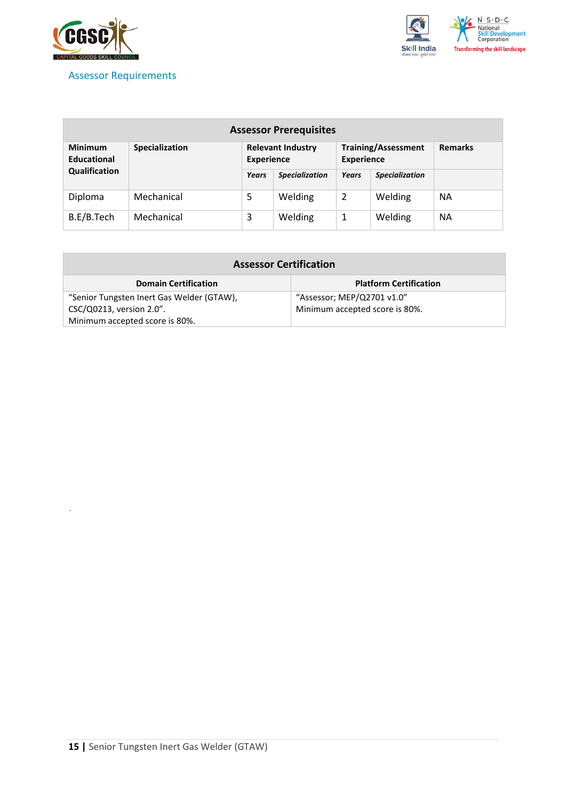

*`*

<span id="page-14-0"></span>



| <b>Assessor Prerequisites</b>        |                |                                               |                       |                   |                            |                |
|--------------------------------------|----------------|-----------------------------------------------|-----------------------|-------------------|----------------------------|----------------|
| <b>Minimum</b><br><b>Educational</b> | Specialization | <b>Relevant Industry</b><br><b>Experience</b> |                       | <b>Experience</b> | <b>Training/Assessment</b> | <b>Remarks</b> |
| Qualification                        |                | Years                                         | <b>Specialization</b> | Years             | <b>Specialization</b>      |                |
| Diploma                              | Mechanical     | 5                                             | Welding               | 2                 | Welding                    | <b>NA</b>      |
| B.E/B.Tech                           | Mechanical     | 3                                             | Welding               | 1                 | Welding                    | <b>NA</b>      |

| <b>Assessor Certification</b>                              |                               |  |  |
|------------------------------------------------------------|-------------------------------|--|--|
| <b>Domain Certification</b>                                | <b>Platform Certification</b> |  |  |
| "Senior Tungsten Inert Gas Welder (GTAW),                  | "Assessor; MEP/Q2701 v1.0"    |  |  |
| CSC/Q0213, version 2.0".<br>Minimum accepted score is 80%. |                               |  |  |
| Minimum accepted score is 80%.                             |                               |  |  |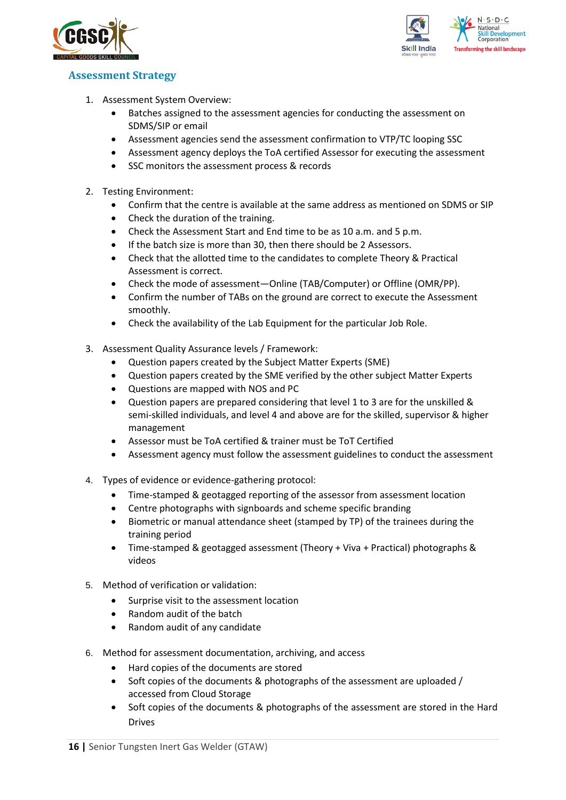



### <span id="page-15-0"></span>**Assessment Strategy**

- 1. Assessment System Overview:
	- Batches assigned to the assessment agencies for conducting the assessment on SDMS/SIP or email
	- Assessment agencies send the assessment confirmation to VTP/TC looping SSC
	- Assessment agency deploys the ToA certified Assessor for executing the assessment
	- SSC monitors the assessment process & records
- 2. Testing Environment:
	- Confirm that the centre is available at the same address as mentioned on SDMS or SIP
	- Check the duration of the training.
	- Check the Assessment Start and End time to be as 10 a.m. and 5 p.m.
	- If the batch size is more than 30, then there should be 2 Assessors.
	- Check that the allotted time to the candidates to complete Theory & Practical Assessment is correct.
	- Check the mode of assessment—Online (TAB/Computer) or Offline (OMR/PP).
	- Confirm the number of TABs on the ground are correct to execute the Assessment smoothly.
	- Check the availability of the Lab Equipment for the particular Job Role.
- 3. Assessment Quality Assurance levels / Framework:
	- Question papers created by the Subject Matter Experts (SME)
	- Question papers created by the SME verified by the other subject Matter Experts
	- Questions are mapped with NOS and PC
	- Question papers are prepared considering that level 1 to 3 are for the unskilled & semi-skilled individuals, and level 4 and above are for the skilled, supervisor & higher management
	- Assessor must be ToA certified & trainer must be ToT Certified
	- Assessment agency must follow the assessment guidelines to conduct the assessment
- 4. Types of evidence or evidence-gathering protocol:
	- Time-stamped & geotagged reporting of the assessor from assessment location
	- Centre photographs with signboards and scheme specific branding
	- Biometric or manual attendance sheet (stamped by TP) of the trainees during the training period
	- Time-stamped & geotagged assessment (Theory + Viva + Practical) photographs & videos
- 5. Method of verification or validation:
	- Surprise visit to the assessment location
	- Random audit of the batch
	- Random audit of any candidate
- 6. Method for assessment documentation, archiving, and access
	- Hard copies of the documents are stored
	- Soft copies of the documents & photographs of the assessment are uploaded / accessed from Cloud Storage
	- Soft copies of the documents & photographs of the assessment are stored in the Hard Drives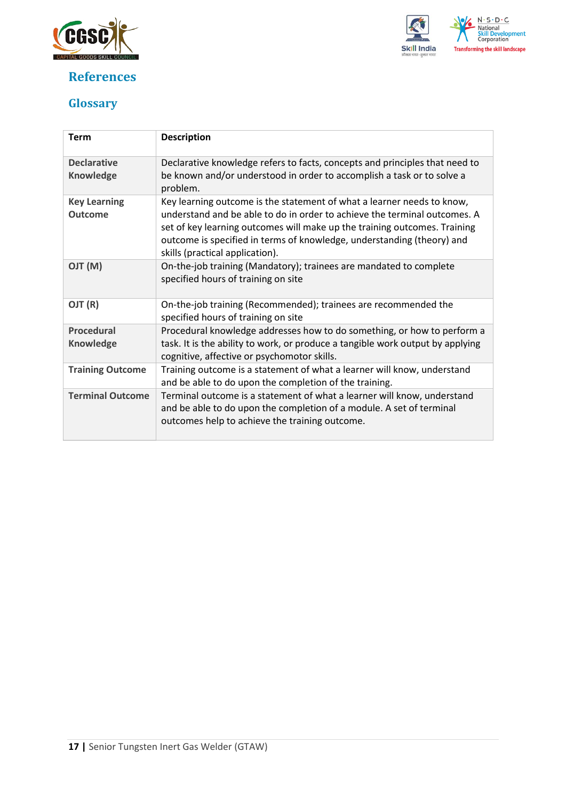

## <span id="page-16-0"></span>**References**



## <span id="page-16-1"></span>**Glossary**

| <b>Term</b>                            | <b>Description</b>                                                                                                                                                                                                                                                                                                                            |
|----------------------------------------|-----------------------------------------------------------------------------------------------------------------------------------------------------------------------------------------------------------------------------------------------------------------------------------------------------------------------------------------------|
| <b>Declarative</b><br><b>Knowledge</b> | Declarative knowledge refers to facts, concepts and principles that need to<br>be known and/or understood in order to accomplish a task or to solve a<br>problem.                                                                                                                                                                             |
| <b>Key Learning</b><br><b>Outcome</b>  | Key learning outcome is the statement of what a learner needs to know,<br>understand and be able to do in order to achieve the terminal outcomes. A<br>set of key learning outcomes will make up the training outcomes. Training<br>outcome is specified in terms of knowledge, understanding (theory) and<br>skills (practical application). |
| (M) TLO                                | On-the-job training (Mandatory); trainees are mandated to complete<br>specified hours of training on site                                                                                                                                                                                                                                     |
| OJT (R)                                | On-the-job training (Recommended); trainees are recommended the<br>specified hours of training on site                                                                                                                                                                                                                                        |
| <b>Procedural</b>                      | Procedural knowledge addresses how to do something, or how to perform a                                                                                                                                                                                                                                                                       |
| <b>Knowledge</b>                       | task. It is the ability to work, or produce a tangible work output by applying<br>cognitive, affective or psychomotor skills.                                                                                                                                                                                                                 |
| <b>Training Outcome</b>                | Training outcome is a statement of what a learner will know, understand<br>and be able to do upon the completion of the training.                                                                                                                                                                                                             |
| <b>Terminal Outcome</b>                | Terminal outcome is a statement of what a learner will know, understand<br>and be able to do upon the completion of a module. A set of terminal<br>outcomes help to achieve the training outcome.                                                                                                                                             |